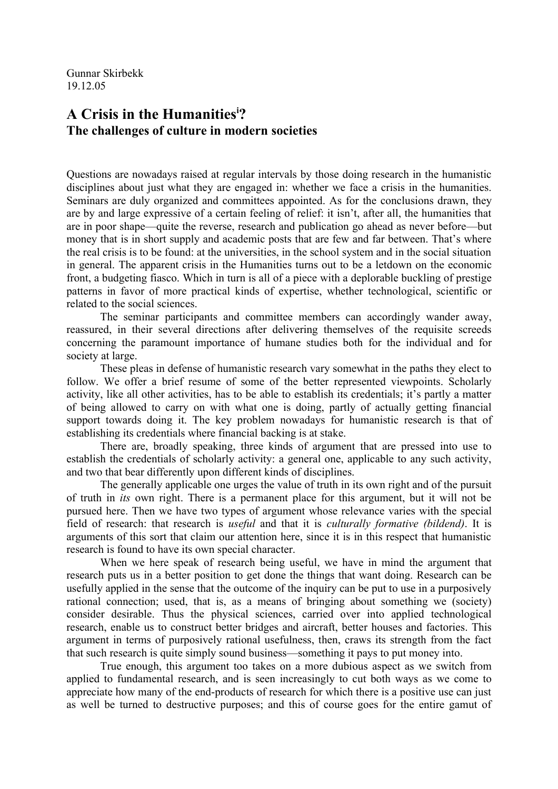Gunnar Skirbekk 19.12.05

## **A Crisis in the Humanities[i](#page-9-0) ? The challenges of culture in modern societies**

Questions are nowadays raised at regular intervals by those doing research in the humanistic disciplines about just what they are engaged in: whether we face a crisis in the humanities. Seminars are duly organized and committees appointed. As for the conclusions drawn, they are by and large expressive of a certain feeling of relief: it isn't, after all, the humanities that are in poor shape—quite the reverse, research and publication go ahead as never before—but money that is in short supply and academic posts that are few and far between. That's where the real crisis is to be found: at the universities, in the school system and in the social situation in general. The apparent crisis in the Humanities turns out to be a letdown on the economic front, a budgeting fiasco. Which in turn is all of a piece with a deplorable buckling of prestige patterns in favor of more practical kinds of expertise, whether technological, scientific or related to the social sciences.

The seminar participants and committee members can accordingly wander away, reassured, in their several directions after delivering themselves of the requisite screeds concerning the paramount importance of humane studies both for the individual and for society at large.

These pleas in defense of humanistic research vary somewhat in the paths they elect to follow. We offer a brief resume of some of the better represented viewpoints. Scholarly activity, like all other activities, has to be able to establish its credentials; it's partly a matter of being allowed to carry on with what one is doing, partly of actually getting financial support towards doing it. The key problem nowadays for humanistic research is that of establishing its credentials where financial backing is at stake.

There are, broadly speaking, three kinds of argument that are pressed into use to establish the credentials of scholarly activity: a general one, applicable to any such activity, and two that bear differently upon different kinds of disciplines.

The generally applicable one urges the value of truth in its own right and of the pursuit of truth in *its* own right. There is a permanent place for this argument, but it will not be pursued here. Then we have two types of argument whose relevance varies with the special field of research: that research is *useful* and that it is *culturally formative (bildend)*. It is arguments of this sort that claim our attention here, since it is in this respect that humanistic research is found to have its own special character.

When we here speak of research being useful, we have in mind the argument that research puts us in a better position to get done the things that want doing. Research can be usefully applied in the sense that the outcome of the inquiry can be put to use in a purposively rational connection; used, that is, as a means of bringing about something we (society) consider desirable. Thus the physical sciences, carried over into applied technological research, enable us to construct better bridges and aircraft, better houses and factories. This argument in terms of purposively rational usefulness, then, craws its strength from the fact that such research is quite simply sound business—something it pays to put money into.

True enough, this argument too takes on a more dubious aspect as we switch from applied to fundamental research, and is seen increasingly to cut both ways as we come to appreciate how many of the end-products of research for which there is a positive use can just as well be turned to destructive purposes; and this of course goes for the entire gamut of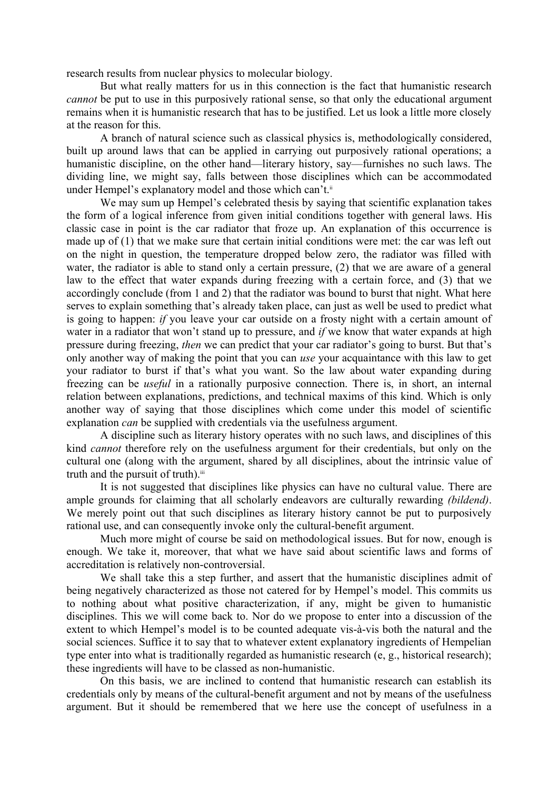research results from nuclear physics to molecular biology.

But what really matters for us in this connection is the fact that humanistic research *cannot* be put to use in this purposively rational sense, so that only the educational argument remains when it is humanistic research that has to be justified. Let us look a little more closely at the reason for this.

A branch of natural science such as classical physics is, methodologically considered, built up around laws that can be applied in carrying out purposively rational operations; a humanistic discipline, on the other hand—literary history, say—furnishes no such laws. The dividing line, we might say, falls between those disciplines which can be accommodated under Hempel's explanatory model and those which can't.<sup>[ii](#page-9-1)</sup>

We may sum up Hempel's celebrated thesis by saying that scientific explanation takes the form of a logical inference from given initial conditions together with general laws. His classic case in point is the car radiator that froze up. An explanation of this occurrence is made up of (1) that we make sure that certain initial conditions were met: the car was left out on the night in question, the temperature dropped below zero, the radiator was filled with water, the radiator is able to stand only a certain pressure, (2) that we are aware of a general law to the effect that water expands during freezing with a certain force, and (3) that we accordingly conclude (from 1 and 2) that the radiator was bound to burst that night. What here serves to explain something that's already taken place, can just as well be used to predict what is going to happen: *if* you leave your car outside on a frosty night with a certain amount of water in a radiator that won't stand up to pressure, and *if* we know that water expands at high pressure during freezing, *then* we can predict that your car radiator's going to burst. But that's only another way of making the point that you can *use* your acquaintance with this law to get your radiator to burst if that's what you want. So the law about water expanding during freezing can be *useful* in a rationally purposive connection. There is, in short, an internal relation between explanations, predictions, and technical maxims of this kind. Which is only another way of saying that those disciplines which come under this model of scientific explanation *can* be supplied with credentials via the usefulness argument.

A discipline such as literary history operates with no such laws, and disciplines of this kind *cannot* therefore rely on the usefulness argument for their credentials, but only on the cultural one (along with the argument, shared by all disciplines, about the intrinsic value of truth and the pursuit of truth).<sup>[iii](#page-9-2)</sup>

It is not suggested that disciplines like physics can have no cultural value. There are ample grounds for claiming that all scholarly endeavors are culturally rewarding *(bildend)*. We merely point out that such disciplines as literary history cannot be put to purposively rational use, and can consequently invoke only the cultural-benefit argument.

Much more might of course be said on methodological issues. But for now, enough is enough. We take it, moreover, that what we have said about scientific laws and forms of accreditation is relatively non-controversial.

We shall take this a step further, and assert that the humanistic disciplines admit of being negatively characterized as those not catered for by Hempel's model. This commits us to nothing about what positive characterization, if any, might be given to humanistic disciplines. This we will come back to. Nor do we propose to enter into a discussion of the extent to which Hempel's model is to be counted adequate vis-à-vis both the natural and the social sciences. Suffice it to say that to whatever extent explanatory ingredients of Hempelian type enter into what is traditionally regarded as humanistic research (e, g., historical research); these ingredients will have to be classed as non-humanistic.

On this basis, we are inclined to contend that humanistic research can establish its credentials only by means of the cultural-benefit argument and not by means of the usefulness argument. But it should be remembered that we here use the concept of usefulness in a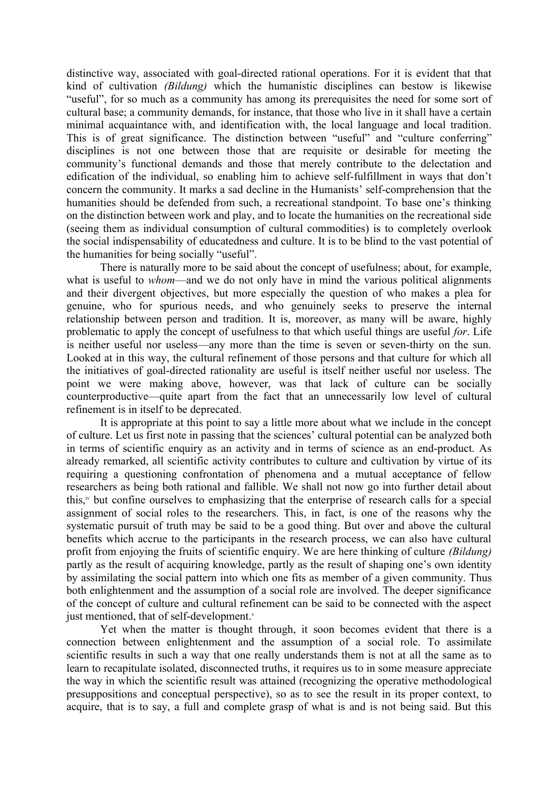distinctive way, associated with goal-directed rational operations. For it is evident that that kind of cultivation *(Bildung)* which the humanistic disciplines can bestow is likewise "useful", for so much as a community has among its prerequisites the need for some sort of cultural base; a community demands, for instance, that those who live in it shall have a certain minimal acquaintance with, and identification with, the local language and local tradition. This is of great significance. The distinction between "useful" and "culture conferring" disciplines is not one between those that are requisite or desirable for meeting the community's functional demands and those that merely contribute to the delectation and edification of the individual, so enabling him to achieve self-fulfillment in ways that don't concern the community. It marks a sad decline in the Humanists' self-comprehension that the humanities should be defended from such, a recreational standpoint. To base one's thinking on the distinction between work and play, and to locate the humanities on the recreational side (seeing them as individual consumption of cultural commodities) is to completely overlook the social indispensability of educatedness and culture. It is to be blind to the vast potential of the humanities for being socially "useful".

There is naturally more to be said about the concept of usefulness; about, for example, what is useful to *whom*—and we do not only have in mind the various political alignments and their divergent objectives, but more especially the question of who makes a plea for genuine, who for spurious needs, and who genuinely seeks to preserve the internal relationship between person and tradition. It is, moreover, as many will be aware, highly problematic to apply the concept of usefulness to that which useful things are useful *for*. Life is neither useful nor useless—any more than the time is seven or seven-thirty on the sun. Looked at in this way, the cultural refinement of those persons and that culture for which all the initiatives of goal-directed rationality are useful is itself neither useful nor useless. The point we were making above, however, was that lack of culture can be socially counterproductive—quite apart from the fact that an unnecessarily low level of cultural refinement is in itself to be deprecated.

It is appropriate at this point to say a little more about what we include in the concept of culture. Let us first note in passing that the sciences' cultural potential can be analyzed both in terms of scientific enquiry as an activity and in terms of science as an end-product. As already remarked, all scientific activity contributes to culture and cultivation by virtue of its requiring a questioning confrontation of phenomena and a mutual acceptance of fellow researchers as being both rational and fallible. We shall not now go into further detail about this, [iv](#page-9-3) but confine ourselves to emphasizing that the enterprise of research calls for a special assignment of social roles to the researchers. This, in fact, is one of the reasons why the systematic pursuit of truth may be said to be a good thing. But over and above the cultural benefits which accrue to the participants in the research process, we can also have cultural profit from enjoying the fruits of scientific enquiry. We are here thinking of culture *(Bildung)* partly as the result of acquiring knowledge, partly as the result of shaping one's own identity by assimilating the social pattern into which one fits as member of a given community. Thus both enlightenment and the assumption of a social role are involved. The deeper significance of the concept of culture and cultural refinement can be said to be connected with the aspect just mentioned, that of self-de[v](#page-9-4)elopment.

Yet when the matter is thought through, it soon becomes evident that there is a connection between enlightenment and the assumption of a social role. To assimilate scientific results in such a way that one really understands them is not at all the same as to learn to recapitulate isolated, disconnected truths, it requires us to in some measure appreciate the way in which the scientific result was attained (recognizing the operative methodological presuppositions and conceptual perspective), so as to see the result in its proper context, to acquire, that is to say, a full and complete grasp of what is and is not being said. But this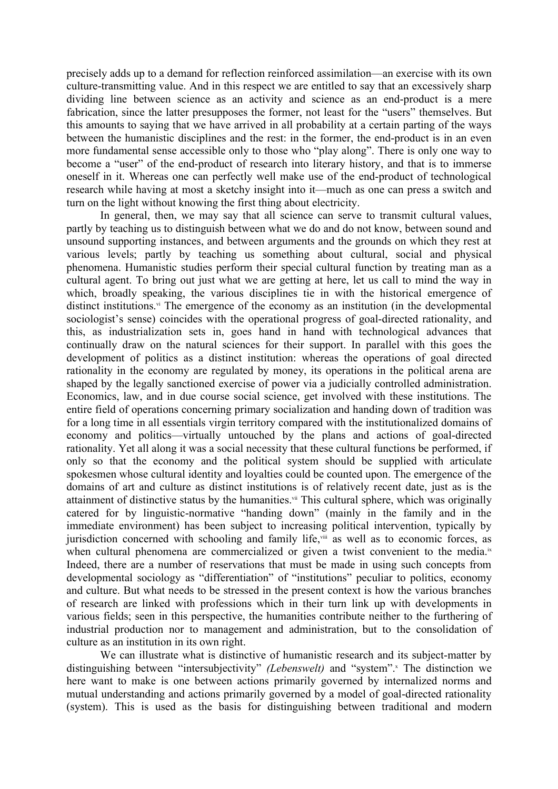precisely adds up to a demand for reflection reinforced assimilation—an exercise with its own culture-transmitting value. And in this respect we are entitled to say that an excessively sharp dividing line between science as an activity and science as an end-product is a mere fabrication, since the latter presupposes the former, not least for the "users" themselves. But this amounts to saying that we have arrived in all probability at a certain parting of the ways between the humanistic disciplines and the rest: in the former, the end-product is in an even more fundamental sense accessible only to those who "play along". There is only one way to become a "user" of the end-product of research into literary history, and that is to immerse oneself in it. Whereas one can perfectly well make use of the end-product of technological research while having at most a sketchy insight into it—much as one can press a switch and turn on the light without knowing the first thing about electricity.

In general, then, we may say that all science can serve to transmit cultural values, partly by teaching us to distinguish between what we do and do not know, between sound and unsound supporting instances, and between arguments and the grounds on which they rest at various levels; partly by teaching us something about cultural, social and physical phenomena. Humanistic studies perform their special cultural function by treating man as a cultural agent. To bring out just what we are getting at here, let us call to mind the way in which, broadly speaking, the various disciplines tie in with the historical emergence of distinct institutions.<sup>[vi](#page-9-5)</sup> The emergence of the economy as an institution (in the developmental sociologist's sense) coincides with the operational progress of goal-directed rationality, and this, as industrialization sets in, goes hand in hand with technological advances that continually draw on the natural sciences for their support. In parallel with this goes the development of politics as a distinct institution: whereas the operations of goal directed rationality in the economy are regulated by money, its operations in the political arena are shaped by the legally sanctioned exercise of power via a judicially controlled administration. Economics, law, and in due course social science, get involved with these institutions. The entire field of operations concerning primary socialization and handing down of tradition was for a long time in all essentials virgin territory compared with the institutionalized domains of economy and politics—virtually untouched by the plans and actions of goal-directed rationality. Yet all along it was a social necessity that these cultural functions be performed, if only so that the economy and the political system should be supplied with articulate spokesmen whose cultural identity and loyalties could be counted upon. The emergence of the domains of art and culture as distinct institutions is of relatively recent date, just as is the attainment of distinctive status by the humanities.<sup>[vii](#page-9-6)</sup> This cultural sphere, which was originally catered for by linguistic-normative "handing down" (mainly in the family and in the immediate environment) has been subject to increasing political intervention, typically by jurisdiction concerned with schooling and family life, in as well as to economic forces, as when cultural phenomena are commercialized or given a twist convenient to the media. $\mathbb{R}^n$ Indeed, there are a number of reservations that must be made in using such concepts from developmental sociology as "differentiation" of "institutions" peculiar to politics, economy and culture. But what needs to be stressed in the present context is how the various branches of research are linked with professions which in their turn link up with developments in various fields; seen in this perspective, the humanities contribute neither to the furthering of industrial production nor to management and administration, but to the consolidation of culture as an institution in its own right.

We can illustrate what is distinctive of humanistic research and its subject-matter by distinguishing between "intersubjectivity" *(Lebenswelt)* and "system".<sup>\*</sup> The distinction we here want to make is one between actions primarily governed by internalized norms and mutual understanding and actions primarily governed by a model of goal-directed rationality (system). This is used as the basis for distinguishing between traditional and modern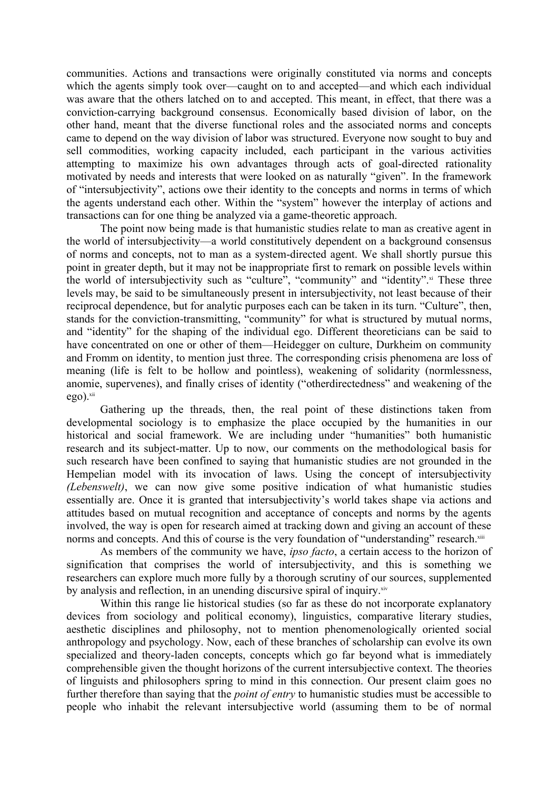communities. Actions and transactions were originally constituted via norms and concepts which the agents simply took over—caught on to and accepted—and which each individual was aware that the others latched on to and accepted. This meant, in effect, that there was a conviction-carrying background consensus. Economically based division of labor, on the other hand, meant that the diverse functional roles and the associated norms and concepts came to depend on the way division of labor was structured. Everyone now sought to buy and sell commodities, working capacity included, each participant in the various activities attempting to maximize his own advantages through acts of goal-directed rationality motivated by needs and interests that were looked on as naturally "given". In the framework of "intersubjectivity", actions owe their identity to the concepts and norms in terms of which the agents understand each other. Within the "system" however the interplay of actions and transactions can for one thing be analyzed via a game-theoretic approach.

The point now being made is that humanistic studies relate to man as creative agent in the world of intersubjectivity—a world constitutively dependent on a background consensus of norms and concepts, not to man as a system-directed agent. We shall shortly pursue this point in greater depth, but it may not be inappropriate first to remark on possible levels within the world of intersubjectivity such as "culture", "community" and "identity". [xi](#page-9-10) These three levels may, be said to be simultaneously present in intersubjectivity, not least because of their reciprocal dependence, but for analytic purposes each can be taken in its turn. "Culture", then, stands for the conviction-transmitting, "community" for what is structured by mutual norms, and "identity" for the shaping of the individual ego. Different theoreticians can be said to have concentrated on one or other of them—Heidegger on culture, Durkheim on community and Fromm on identity, to mention just three. The corresponding crisis phenomena are loss of meaning (life is felt to be hollow and pointless), weakening of solidarity (normlessness, anomie, supervenes), and finally crises of identity ("otherdirectedness" and weakening of the  $e$ go). $xii$ 

Gathering up the threads, then, the real point of these distinctions taken from developmental sociology is to emphasize the place occupied by the humanities in our historical and social framework. We are including under "humanities" both humanistic research and its subject-matter. Up to now, our comments on the methodological basis for such research have been confined to saying that humanistic studies are not grounded in the Hempelian model with its invocation of laws. Using the concept of intersubjectivity *(Lebenswelt)*, we can now give some positive indication of what humanistic studies essentially are. Once it is granted that intersubjectivity's world takes shape via actions and attitudes based on mutual recognition and acceptance of concepts and norms by the agents involved, the way is open for research aimed at tracking down and giving an account of these norms and concepts. And this of course is the very foundation of "understanding" research.[xiii](#page-9-12)

As members of the community we have, *ipso facto*, a certain access to the horizon of signification that comprises the world of intersubjectivity, and this is something we researchers can explore much more fully by a thorough scrutiny of our sources, supplemented by analysis and reflection, in an unending discursive spiral of inquiry.<sup>[xiv](#page-9-13)</sup>

Within this range lie historical studies (so far as these do not incorporate explanatory devices from sociology and political economy), linguistics, comparative literary studies, aesthetic disciplines and philosophy, not to mention phenomenologically oriented social anthropology and psychology. Now, each of these branches of scholarship can evolve its own specialized and theory-laden concepts, concepts which go far beyond what is immediately comprehensible given the thought horizons of the current intersubjective context. The theories of linguists and philosophers spring to mind in this connection. Our present claim goes no further therefore than saying that the *point of entry* to humanistic studies must be accessible to people who inhabit the relevant intersubjective world (assuming them to be of normal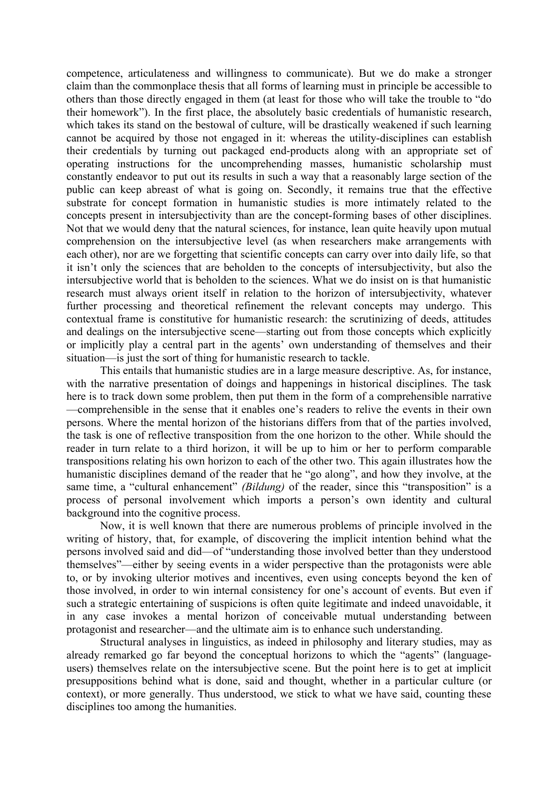competence, articulateness and willingness to communicate). But we do make a stronger claim than the commonplace thesis that all forms of learning must in principle be accessible to others than those directly engaged in them (at least for those who will take the trouble to "do their homework"). In the first place, the absolutely basic credentials of humanistic research, which takes its stand on the bestowal of culture, will be drastically weakened if such learning cannot be acquired by those not engaged in it: whereas the utility-disciplines can establish their credentials by turning out packaged end-products along with an appropriate set of operating instructions for the uncomprehending masses, humanistic scholarship must constantly endeavor to put out its results in such a way that a reasonably large section of the public can keep abreast of what is going on. Secondly, it remains true that the effective substrate for concept formation in humanistic studies is more intimately related to the concepts present in intersubjectivity than are the concept-forming bases of other disciplines. Not that we would deny that the natural sciences, for instance, lean quite heavily upon mutual comprehension on the intersubjective level (as when researchers make arrangements with each other), nor are we forgetting that scientific concepts can carry over into daily life, so that it isn't only the sciences that are beholden to the concepts of intersubjectivity, but also the intersubjective world that is beholden to the sciences. What we do insist on is that humanistic research must always orient itself in relation to the horizon of intersubjectivity, whatever further processing and theoretical refinement the relevant concepts may undergo. This contextual frame is constitutive for humanistic research: the scrutinizing of deeds, attitudes and dealings on the intersubjective scene—starting out from those concepts which explicitly or implicitly play a central part in the agents' own understanding of themselves and their situation—is just the sort of thing for humanistic research to tackle.

This entails that humanistic studies are in a large measure descriptive. As, for instance, with the narrative presentation of doings and happenings in historical disciplines. The task here is to track down some problem, then put them in the form of a comprehensible narrative —comprehensible in the sense that it enables one's readers to relive the events in their own persons. Where the mental horizon of the historians differs from that of the parties involved, the task is one of reflective transposition from the one horizon to the other. While should the reader in turn relate to a third horizon, it will be up to him or her to perform comparable transpositions relating his own horizon to each of the other two. This again illustrates how the humanistic disciplines demand of the reader that he "go along", and how they involve, at the same time, a "cultural enhancement" *(Bildung)* of the reader, since this "transposition" is a process of personal involvement which imports a person's own identity and cultural background into the cognitive process.

Now, it is well known that there are numerous problems of principle involved in the writing of history, that, for example, of discovering the implicit intention behind what the persons involved said and did—of "understanding those involved better than they understood themselves"—either by seeing events in a wider perspective than the protagonists were able to, or by invoking ulterior motives and incentives, even using concepts beyond the ken of those involved, in order to win internal consistency for one's account of events. But even if such a strategic entertaining of suspicions is often quite legitimate and indeed unavoidable, it in any case invokes a mental horizon of conceivable mutual understanding between protagonist and researcher—and the ultimate aim is to enhance such understanding.

Structural analyses in linguistics, as indeed in philosophy and literary studies, may as already remarked go far beyond the conceptual horizons to which the "agents" (languageusers) themselves relate on the intersubjective scene. But the point here is to get at implicit presuppositions behind what is done, said and thought, whether in a particular culture (or context), or more generally. Thus understood, we stick to what we have said, counting these disciplines too among the humanities.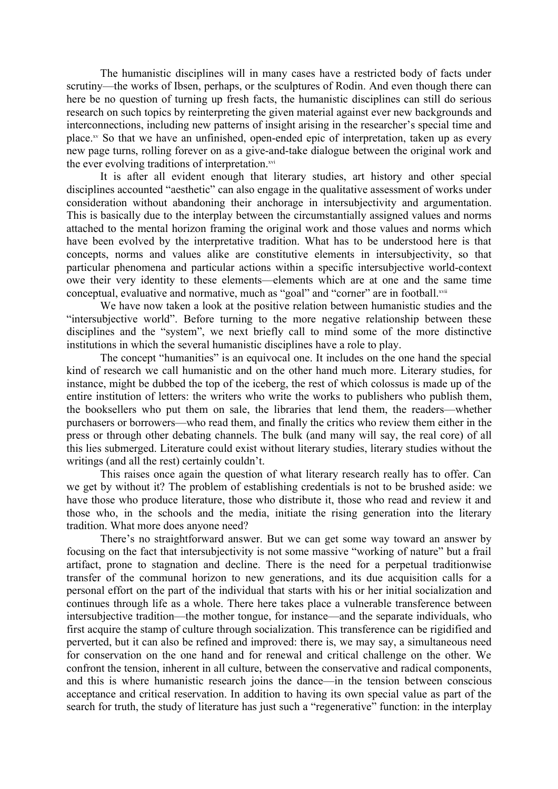The humanistic disciplines will in many cases have a restricted body of facts under scrutiny—the works of Ibsen, perhaps, or the sculptures of Rodin. And even though there can here be no question of turning up fresh facts, the humanistic disciplines can still do serious research on such topics by reinterpreting the given material against ever new backgrounds and interconnections, including new patterns of insight arising in the researcher's special time and place. [xv](#page-9-14) So that we have an unfinished, open-ended epic of interpretation, taken up as every new page turns, rolling forever on as a give-and-take dialogue between the original work and the ever evolving traditions of interpretation.[xvi](#page-9-15)

It is after all evident enough that literary studies, art history and other special disciplines accounted "aesthetic" can also engage in the qualitative assessment of works under consideration without abandoning their anchorage in intersubjectivity and argumentation. This is basically due to the interplay between the circumstantially assigned values and norms attached to the mental horizon framing the original work and those values and norms which have been evolved by the interpretative tradition. What has to be understood here is that concepts, norms and values alike are constitutive elements in intersubjectivity, so that particular phenomena and particular actions within a specific intersubjective world-context owe their very identity to these elements—elements which are at one and the same time conceptual, evaluative and normative, much as "goal" and "corner" are in football.[xvii](#page-9-16)

We have now taken a look at the positive relation between humanistic studies and the "intersubjective world". Before turning to the more negative relationship between these disciplines and the "system", we next briefly call to mind some of the more distinctive institutions in which the several humanistic disciplines have a role to play.

The concept "humanities" is an equivocal one. It includes on the one hand the special kind of research we call humanistic and on the other hand much more. Literary studies, for instance, might be dubbed the top of the iceberg, the rest of which colossus is made up of the entire institution of letters: the writers who write the works to publishers who publish them, the booksellers who put them on sale, the libraries that lend them, the readers—whether purchasers or borrowers—who read them, and finally the critics who review them either in the press or through other debating channels. The bulk (and many will say, the real core) of all this lies submerged. Literature could exist without literary studies, literary studies without the writings (and all the rest) certainly couldn't.

This raises once again the question of what literary research really has to offer. Can we get by without it? The problem of establishing credentials is not to be brushed aside: we have those who produce literature, those who distribute it, those who read and review it and those who, in the schools and the media, initiate the rising generation into the literary tradition. What more does anyone need?

There's no straightforward answer. But we can get some way toward an answer by focusing on the fact that intersubjectivity is not some massive "working of nature" but a frail artifact, prone to stagnation and decline. There is the need for a perpetual traditionwise transfer of the communal horizon to new generations, and its due acquisition calls for a personal effort on the part of the individual that starts with his or her initial socialization and continues through life as a whole. There here takes place a vulnerable transference between intersubjective tradition—the mother tongue, for instance—and the separate individuals, who first acquire the stamp of culture through socialization. This transference can be rigidified and perverted, but it can also be refined and improved: there is, we may say, a simultaneous need for conservation on the one hand and for renewal and critical challenge on the other. We confront the tension, inherent in all culture, between the conservative and radical components, and this is where humanistic research joins the dance—in the tension between conscious acceptance and critical reservation. In addition to having its own special value as part of the search for truth, the study of literature has just such a "regenerative" function: in the interplay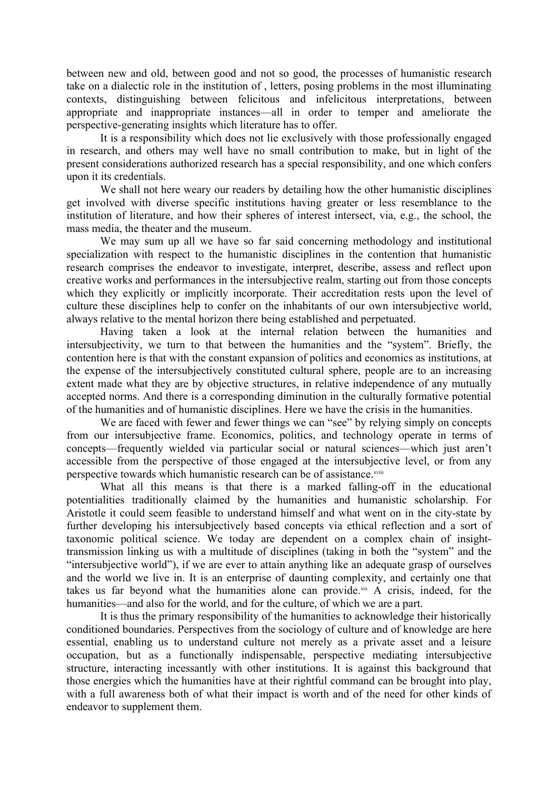between new and old, between good and not so good, the processes of humanistic research take on a dialectic role in the institution of , letters, posing problems in the most illuminating contexts, distinguishing between felicitous and infelicitous interpretations, between appropriate and inappropriate instances—all in order to temper and ameliorate the perspective-generating insights which literature has to offer.

It is a responsibility which does not lie exclusively with those professionally engaged in research, and others may well have no small contribution to make, but in light of the present considerations authorized research has a special responsibility, and one which confers upon it its credentials.

We shall not here weary our readers by detailing how the other humanistic disciplines get involved with diverse specific institutions having greater or less resemblance to the institution of literature, and how their spheres of interest intersect, via, e.g., the school, the mass media, the theater and the museum.

We may sum up all we have so far said concerning methodology and institutional specialization with respect to the humanistic disciplines in the contention that humanistic research comprises the endeavor to investigate, interpret, describe, assess and reflect upon creative works and performances in the intersubjective realm, starting out from those concepts which they explicitly or implicitly incorporate. Their accreditation rests upon the level of culture these disciplines help to confer on the inhabitants of our own intersubjective world, always relative to the mental horizon there being established and perpetuated.

Having taken a look at the internal relation between the humanities and intersubjectivity, we turn to that between the humanities and the "system". Briefly, the contention here is that with the constant expansion of politics and economics as institutions, at the expense of the intersubjectively constituted cultural sphere, people are to an increasing extent made what they are by objective structures, in relative independence of any mutually accepted norms. And there is a corresponding diminution in the culturally formative potential of the humanities and of humanistic disciplines. Here we have the crisis in the humanities.

We are faced with fewer and fewer things we can "see" by relying simply on concepts from our intersubjective frame. Economics, politics, and technology operate in terms of concepts—frequently wielded via particular social or natural sciences—which just aren't accessible from the perspective of those engaged at the intersubjective level, or from any perspective towards which humanistic research can be of assistance.<sup>[xviii](#page-9-17)</sup>

What all this means is that there is a marked falling-off in the educational potentialities traditionally claimed by the humanities and humanistic scholarship. For Aristotle it could seem feasible to understand himself and what went on in the city-state by further developing his intersubjectively based concepts via ethical reflection and a sort of taxonomic political science. We today are dependent on a complex chain of insighttransmission linking us with a multitude of disciplines (taking in both the "system" and the "intersubjective world"), if we are ever to attain anything like an adequate grasp of ourselves and the world we live in. It is an enterprise of daunting complexity, and certainly one that takes us far beyond what the humanities alone can provide. $\frac{1}{x}$  A crisis, indeed, for the humanities—and also for the world, and for the culture, of which we are a part.

It is thus the primary responsibility of the humanities to acknowledge their historically conditioned boundaries. Perspectives from the sociology of culture and of knowledge are here essential, enabling us to understand culture not merely as a private asset and a leisure occupation, but as a functionally indispensable, perspective mediating intersubjective structure, interacting incessantly with other institutions. It is against this background that those energies which the humanities have at their rightful command can be brought into play, with a full awareness both of what their impact is worth and of the need for other kinds of endeavor to supplement them.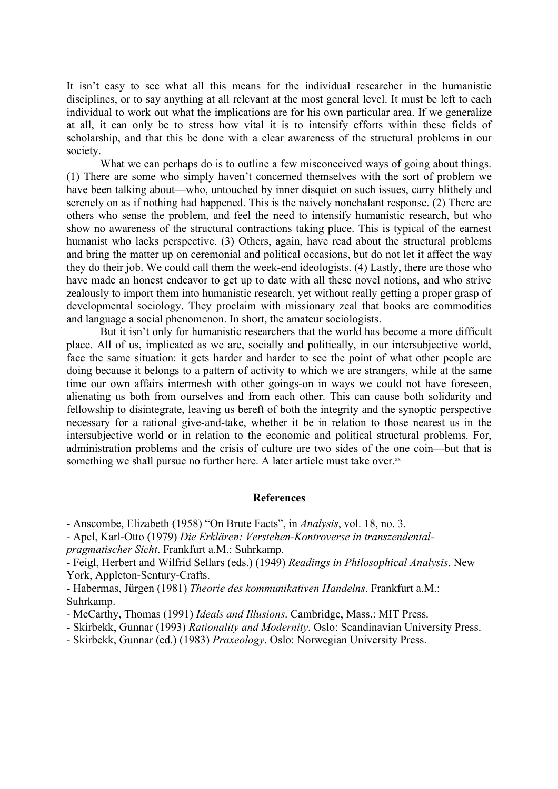It isn't easy to see what all this means for the individual researcher in the humanistic disciplines, or to say anything at all relevant at the most general level. It must be left to each individual to work out what the implications are for his own particular area. If we generalize at all, it can only be to stress how vital it is to intensify efforts within these fields of scholarship, and that this be done with a clear awareness of the structural problems in our society.

What we can perhaps do is to outline a few misconceived ways of going about things. (1) There are some who simply haven't concerned themselves with the sort of problem we have been talking about—who, untouched by inner disquiet on such issues, carry blithely and serenely on as if nothing had happened. This is the naively nonchalant response. (2) There are others who sense the problem, and feel the need to intensify humanistic research, but who show no awareness of the structural contractions taking place. This is typical of the earnest humanist who lacks perspective. (3) Others, again, have read about the structural problems and bring the matter up on ceremonial and political occasions, but do not let it affect the way they do their job. We could call them the week-end ideologists. (4) Lastly, there are those who have made an honest endeavor to get up to date with all these novel notions, and who strive zealously to import them into humanistic research, yet without really getting a proper grasp of developmental sociology. They proclaim with missionary zeal that books are commodities and language a social phenomenon. In short, the amateur sociologists.

But it isn't only for humanistic researchers that the world has become a more difficult place. All of us, implicated as we are, socially and politically, in our intersubjective world, face the same situation: it gets harder and harder to see the point of what other people are doing because it belongs to a pattern of activity to which we are strangers, while at the same time our own affairs intermesh with other goings-on in ways we could not have foreseen, alienating us both from ourselves and from each other. This can cause both solidarity and fellowship to disintegrate, leaving us bereft of both the integrity and the synoptic perspective necessary for a rational give-and-take, whether it be in relation to those nearest us in the intersubjective world or in relation to the economic and political structural problems. For, administration problems and the crisis of culture are two sides of the one coin—but that is something we shall pursue no further here. A later article must take over. $x^x$ 

## **References**

- Anscombe, Elizabeth (1958) "On Brute Facts", in *Analysis*, vol. 18, no. 3.

- Apel, Karl-Otto (1979) *Die Erklären: Verstehen-Kontroverse in transzendentalpragmatischer Sicht*. Frankfurt a.M.: Suhrkamp.

- Feigl, Herbert and Wilfrid Sellars (eds.) (1949) *Readings in Philosophical Analysis*. New York, Appleton-Sentury-Crafts.

- Habermas, Jürgen (1981) *Theorie des kommunikativen Handelns*. Frankfurt a.M.: Suhrkamp.

- McCarthy, Thomas (1991) *Ideals and Illusions*. Cambridge, Mass.: MIT Press.
- Skirbekk, Gunnar (1993) *Rationality and Modernity*. Oslo: Scandinavian University Press.

- Skirbekk, Gunnar (ed.) (1983) *Praxeology*. Oslo: Norwegian University Press.